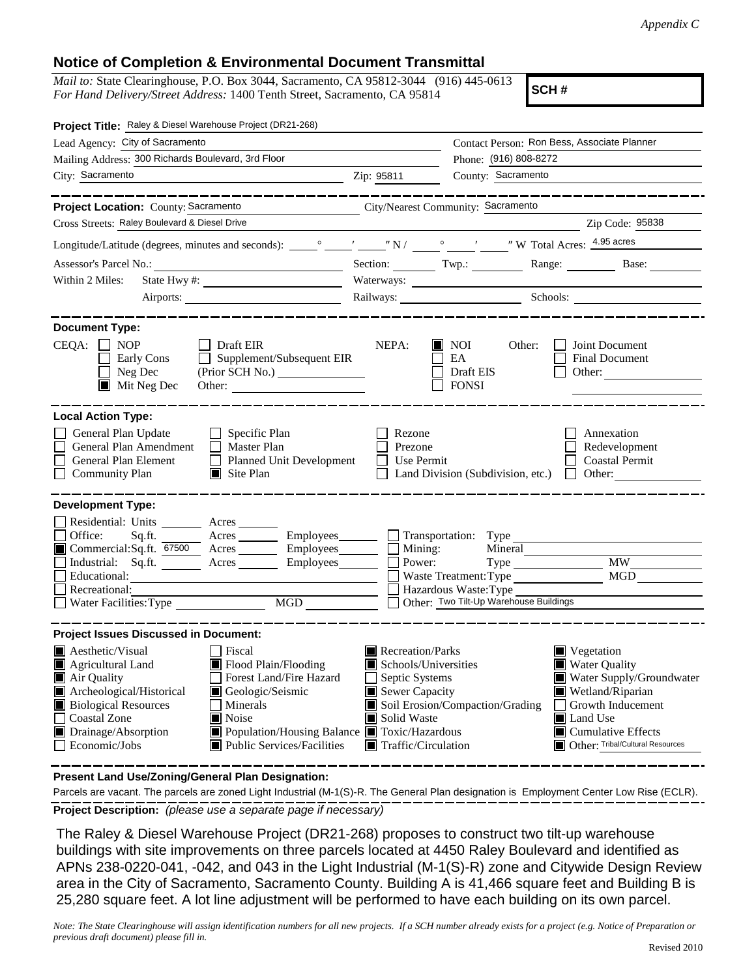## **Notice of Completion & Environmental Document Transmittal**

*Mail to:* State Clearinghouse, P.O. Box 3044, Sacramento, CA 95812-3044 (916) 445-0613 *For Hand Delivery/Street Address:* 1400 Tenth Street, Sacramento, CA 95814

**SCH #**

| Project Title: Raley & Diesel Warehouse Project (DR21-268)                                                                                                                                                                                                                                                                                                                                                                                               |                                                                                                                                                  |                                                                                                     |                                                                                                                                                                                                                        |
|----------------------------------------------------------------------------------------------------------------------------------------------------------------------------------------------------------------------------------------------------------------------------------------------------------------------------------------------------------------------------------------------------------------------------------------------------------|--------------------------------------------------------------------------------------------------------------------------------------------------|-----------------------------------------------------------------------------------------------------|------------------------------------------------------------------------------------------------------------------------------------------------------------------------------------------------------------------------|
| Lead Agency: City of Sacramento                                                                                                                                                                                                                                                                                                                                                                                                                          |                                                                                                                                                  |                                                                                                     | Contact Person: Ron Bess, Associate Planner                                                                                                                                                                            |
| Mailing Address: 300 Richards Boulevard, 3rd Floor                                                                                                                                                                                                                                                                                                                                                                                                       |                                                                                                                                                  | Phone: (916) 808-8272                                                                               |                                                                                                                                                                                                                        |
| City: Sacramento<br>$\chi$ 2.1p: 95811                                                                                                                                                                                                                                                                                                                                                                                                                   | County: Sacramento                                                                                                                               |                                                                                                     |                                                                                                                                                                                                                        |
|                                                                                                                                                                                                                                                                                                                                                                                                                                                          |                                                                                                                                                  |                                                                                                     |                                                                                                                                                                                                                        |
| Project Location: County: Sacramento                                                                                                                                                                                                                                                                                                                                                                                                                     | City/Nearest Community: Sacramento                                                                                                               |                                                                                                     |                                                                                                                                                                                                                        |
| Cross Streets: Raley Boulevard & Diesel Drive                                                                                                                                                                                                                                                                                                                                                                                                            |                                                                                                                                                  |                                                                                                     | Zip Code: 95838                                                                                                                                                                                                        |
|                                                                                                                                                                                                                                                                                                                                                                                                                                                          |                                                                                                                                                  |                                                                                                     |                                                                                                                                                                                                                        |
| Assessor's Parcel No.:                                                                                                                                                                                                                                                                                                                                                                                                                                   |                                                                                                                                                  |                                                                                                     | Section: Twp.: Range: Base:                                                                                                                                                                                            |
| Within 2 Miles:<br>State Hwy #:                                                                                                                                                                                                                                                                                                                                                                                                                          | Waterways:                                                                                                                                       |                                                                                                     |                                                                                                                                                                                                                        |
|                                                                                                                                                                                                                                                                                                                                                                                                                                                          |                                                                                                                                                  |                                                                                                     | Railways: Schools: Schools:                                                                                                                                                                                            |
| <b>Document Type:</b><br>$CEQA: \Box NP$<br>Draft EIR<br>$\Box$ Supplement/Subsequent EIR<br>Early Cons<br>Neg Dec<br>$\blacksquare$ Mit Neg Dec<br>Other:                                                                                                                                                                                                                                                                                               | NEPA:                                                                                                                                            | $\blacksquare$ NOI<br>Other:<br>EA<br>Draft EIS<br><b>FONSI</b>                                     | Joint Document<br>Final Document<br>Other: $\qquad \qquad$                                                                                                                                                             |
| <b>Local Action Type:</b><br>General Plan Update<br>$\Box$ Specific Plan<br>General Plan Amendment<br>$\Box$ Master Plan<br>General Plan Element<br>Planned Unit Development<br><b>Community Plan</b><br>$\blacksquare$ Site Plan                                                                                                                                                                                                                        | Rezone<br>Prezone<br>$\Box$ Use Permit                                                                                                           | $\Box$ Land Division (Subdivision, etc.) $\Box$ Other:                                              | Annexation<br>Redevelopment<br>Coastal Permit                                                                                                                                                                          |
| <b>Development Type:</b><br>Residential: Units ________ Acres _____<br>Office:<br>Acres Employees Transportation: Type<br>Sq.ft.<br>■ Commercial:Sq.ft. 67500 Acres _______ Employees _______ □ Mining:<br>Industrial: Sq.ft. Acres Employees<br>Educational:<br>Recreational:<br>MGD <sup>1</sup><br>Water Facilities: Type                                                                                                                             | Power:                                                                                                                                           | Mineral<br>Waste Treatment: Type<br>Hazardous Waste: Type<br>Other: Two Tilt-Up Warehouse Buildings | <b>MW</b><br>MGD                                                                                                                                                                                                       |
| <b>Project Issues Discussed in Document:</b><br>$\blacksquare$ Aesthetic/Visual<br>Fiscal<br>Flood Plain/Flooding<br>$\blacksquare$ Agricultural Land<br>Forest Land/Fire Hazard<br>Air Quality<br>Archeological/Historical<br>Geologic/Seismic<br><b>Biological Resources</b><br>  Minerals<br>Coastal Zone<br>$\blacksquare$ Noise<br>Drainage/Absorption<br>Population/Housing Balance Toxic/Hazardous<br>Public Services/Facilities<br>Economic/Jobs | Recreation/Parks<br>Schools/Universities<br>Septic Systems<br>$\blacksquare$ Sewer Capacity<br>Solid Waste<br>$\blacksquare$ Traffic/Circulation | Soil Erosion/Compaction/Grading                                                                     | $\blacksquare$ Vegetation<br><b>Water Quality</b><br>Water Supply/Groundwater<br>Wetland/Riparian<br>Growth Inducement<br>$\perp$<br>Land Use<br>$\blacksquare$ Cumulative Effects<br>Other: Tribal/Cultural Resources |

**Present Land Use/Zoning/General Plan Designation:**

**Project Description:** *(please use a separate page if necessary)* Parcels are vacant. The parcels are zoned Light Industrial (M-1(S)-R. The General Plan designation is Employment Center Low Rise (ECLR).

 The Raley & Diesel Warehouse Project (DR21-268) proposes to construct two tilt-up warehouse buildings with site improvements on three parcels located at 4450 Raley Boulevard and identified as APNs 238-0220-041, -042, and 043 in the Light Industrial (M-1(S)-R) zone and Citywide Design Review area in the City of Sacramento, Sacramento County. Building A is 41,466 square feet and Building B is 25,280 square feet. A lot line adjustment will be performed to have each building on its own parcel.

*Note: The State Clearinghouse will assign identification numbers for all new projects. If a SCH number already exists for a project (e.g. Notice of Preparation or previous draft document) please fill in.*